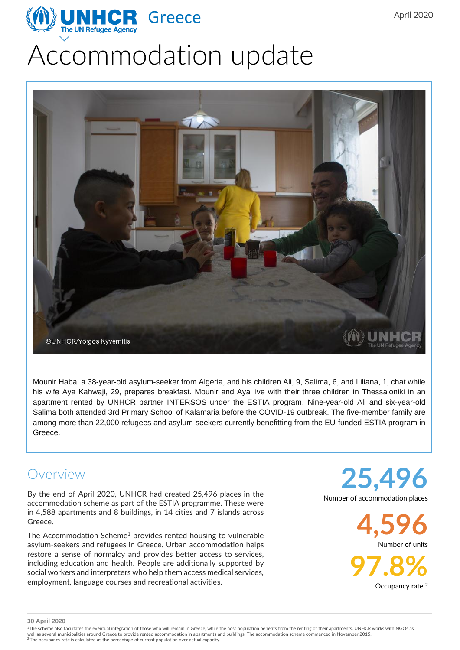# Accommodation update



Mounir Haba, a 38-year-old asylum-seeker from Algeria, and his children Ali, 9, Salima, 6, and Liliana, 1, chat while his wife Aya Kahwaji, 29, prepares breakfast. Mounir and Aya live with their three children in Thessaloniki in an apartment rented by UNHCR partner INTERSOS under the ESTIA program. Nine-year-old Ali and six-year-old Salima both attended 3rd Primary School of Kalamaria before the COVID-19 outbreak. The five-member family are among more than 22,000 refugees and asylum-seekers currently benefitting from the EU-funded ESTIA program in Greece.

#### Overview

By the end of April 2020, UNHCR had created 25,496 places in the accommodation scheme as part of the ESTIA programme. These were in 4,588 apartments and 8 buildings, in 14 cities and 7 islands across Greece.

The Accommodation Scheme<sup>1</sup> provides rented housing to vulnerable asylum-seekers and refugees in Greece. Urban accommodation helps restore a sense of normalcy and provides better access to services, including education and health. People are additionally supported by social workers and interpreters who help them access medical services, employment, language courses and recreational activities.

**25,496** Number of accommodation places

> **4,596** Number of units

> > **97.8%**

Occupancy rate <sup>2</sup>

**30 April 2020**

<sup>1</sup>The scheme also facilitates the eventual integration of those who will remain in Greece, while the host population benefits from the renting of their apartments. UNHCR works with NGOs as well as several municipalities around Greece to provide rented accommodation in apartments and buildings. The accommodation scheme commenced in November 2015.<br><sup>2</sup> The occupancy rate is calculated as the percentage of curre

April 2020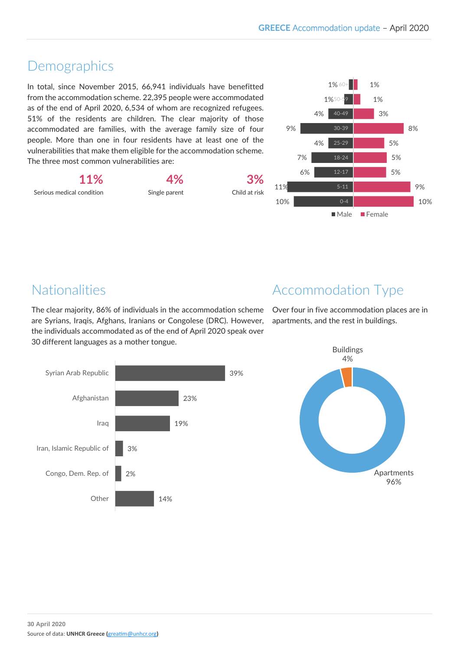## Demographics

In total, since November 2015, 66,941 individuals have benefitted from the accommodation scheme. 22,395 people were accommodated as of the end of April 2020, 6,534 of whom are recognized refugees. 51% of the residents are children. The clear majority of those accommodated are families, with the average family size of four people. More than one in four residents have at least one of the vulnerabilities that make them eligible for the accommodation scheme. The three most common vulnerabilities are:

**11%** Serious medical condition

Single parent

**4%**





## Nationalities

The clear majority, 86% of individuals in the accommodation scheme are Syrians, Iraqis, Afghans, Iranians or Congolese (DRC). However, the individuals accommodated as of the end of April 2020 speak over 30 different languages as a mother tongue.

# Accommodation Type

Over four in five accommodation places are in apartments, and the rest in buildings.



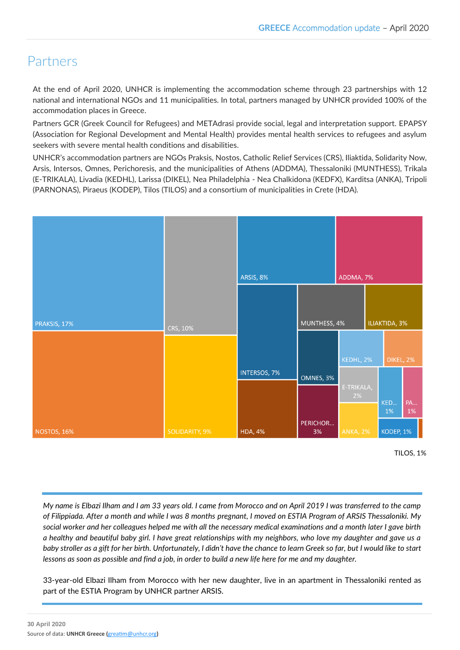## Partners

At the end of April 2020, UNHCR is implementing the accommodation scheme through 23 partnerships with 12 national and international NGOs and 11 municipalities. In total, partners managed by UNHCR provided 100% of the accommodation places in Greece.

Partners GCR (Greek Council for Refugees) and METAdrasi provide social, legal and interpretation support. EPAPSY (Association for Regional Development and Mental Health) provides mental health services to refugees and asylum seekers with severe mental health conditions and disabilities.

UNHCR's accommodation partners are NGOs Praksis, Nostos, Catholic Relief Services (CRS), Iliaktida, Solidarity Now, Arsis, Intersos, Omnes, Perichoresis, and the municipalities of Athens (ADDMA), Thessaloniki (MUNTHESS), Trikala (E-TRIKALA), Livadia (KEDHL), Larissa (DIKEL), Nea Philadelphia - Nea Chalkidona (KEDFX), Karditsa (ANKA), Tripoli (PARNONAS), Piraeus (KODEP), Tilos (TILOS) and a consortium of municipalities in Crete (HDA).



TILOS, 1%

*My name is Elbazi Ilham and I am 33 years old. I came from Morocco and on April 2019 I was transferred to the camp of Filippiada. After a month and while I was 8 months pregnant, I moved on ESTIA Program of ARSIS Thessaloniki. My social worker and her colleagues helped me with all the necessary medical examinations and a month later I gave birth a healthy and beautiful baby girl. I have great relationships with my neighbors, who love my daughter and gave us a baby stroller as a gift for her birth. Unfortunately, I didn't have the chance to learn Greek so far, but I would like to start lessons as soon as possible and find a job, in order to build a new life here for me and my daughter.*

33-year-old Elbazi Ilham from Morocco with her new daughter, live in an apartment in Thessaloniki rented as part of the ESTIA Program by UNHCR partner ARSIS.